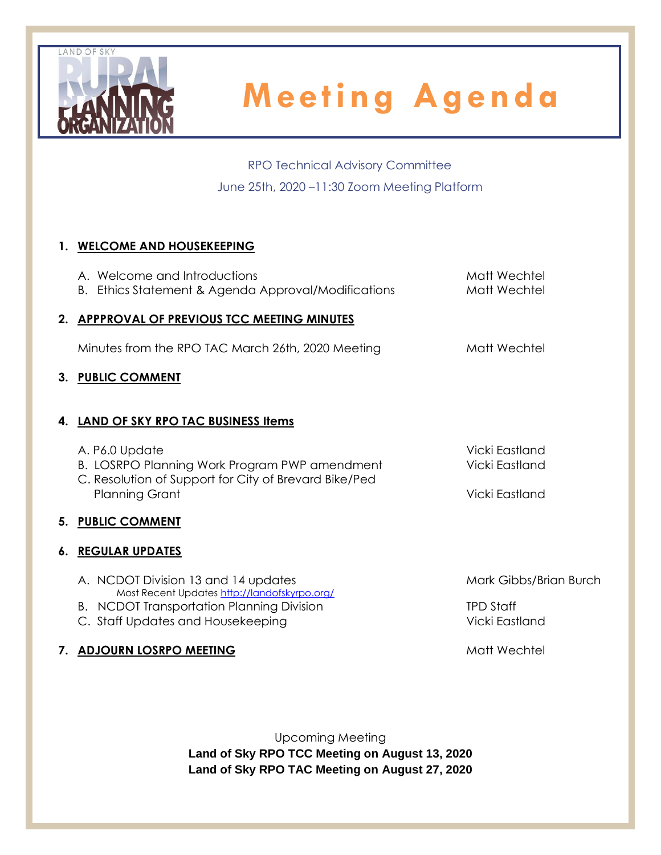

RPO Technical Advisory Committee June 25th, 2020 –11:30 Zoom Meeting Platform

## **1. WELCOME AND HOUSEKEEPING**

| A. Welcome and Introductions                                                          | Matt Wechtel           |
|---------------------------------------------------------------------------------------|------------------------|
| B. Ethics Statement & Agenda Approval/Modifications                                   | Matt Wechtel           |
| 2. APPPROVAL OF PREVIOUS TCC MEETING MINUTES                                          |                        |
| Minutes from the RPO TAC March 26th, 2020 Meeting                                     | Matt Wechtel           |
| 3. PUBLIC COMMENT                                                                     |                        |
|                                                                                       |                        |
| 4. LAND OF SKY RPO TAC BUSINESS Items                                                 |                        |
| A. P6.0 Update                                                                        | Vicki Eastland         |
| B. LOSRPO Planning Work Program PWP amendment                                         | Vicki Eastland         |
| C. Resolution of Support for City of Brevard Bike/Ped<br><b>Planning Grant</b>        | Vicki Eastland         |
|                                                                                       |                        |
| 5. PUBLIC COMMENT                                                                     |                        |
| <b>6. REGULAR UPDATES</b>                                                             |                        |
| A. NCDOT Division 13 and 14 updates                                                   | Mark Gibbs/Brian Burch |
| Most Recent Updates http://landofskyrpo.org/                                          | <b>TPD Staff</b>       |
| <b>B.</b> NCDOT Transportation Planning Division<br>C. Staff Updates and Housekeeping | Vicki Eastland         |
|                                                                                       |                        |
| 7. ADJOURN LOSRPO MEETING                                                             | Matt Wechtel           |

Upcoming Meeting **Land of Sky RPO TCC Meeting on August 13, 2020 Land of Sky RPO TAC Meeting on August 27, 2020**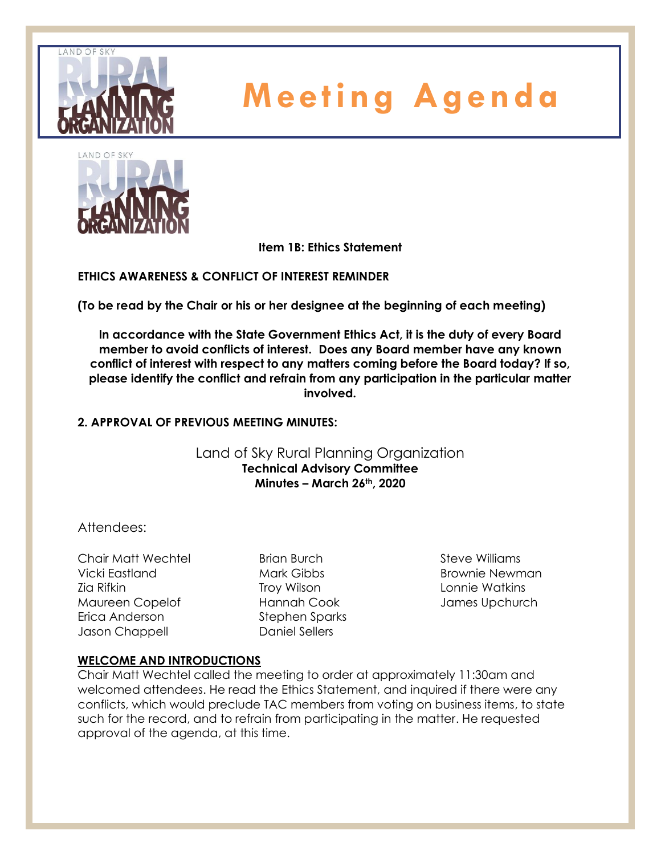



**Item 1B: Ethics Statement**

**ETHICS AWARENESS & CONFLICT OF INTEREST REMINDER** 

**(To be read by the Chair or his or her designee at the beginning of each meeting)** 

**In accordance with the State Government Ethics Act, it is the duty of every Board member to avoid conflicts of interest. Does any Board member have any known conflict of interest with respect to any matters coming before the Board today? If so, please identify the conflict and refrain from any participation in the particular matter involved.**

## **2. APPROVAL OF PREVIOUS MEETING MINUTES:**

Land of Sky Rural Planning Organization **Technical Advisory Committee Minutes – March 26th, 2020**

## Attendees:

Chair Matt Wechtel Vicki Eastland Zia Rifkin Maureen Copelof Erica Anderson Jason Chappell

Brian Burch Mark Gibbs Troy Wilson Hannah Cook Stephen Sparks Daniel Sellers

Steve Williams Brownie Newman Lonnie Watkins James Upchurch

## **WELCOME AND INTRODUCTIONS**

Chair Matt Wechtel called the meeting to order at approximately 11:30am and welcomed attendees. He read the Ethics Statement, and inquired if there were any conflicts, which would preclude TAC members from voting on business items, to state such for the record, and to refrain from participating in the matter. He requested approval of the agenda, at this time.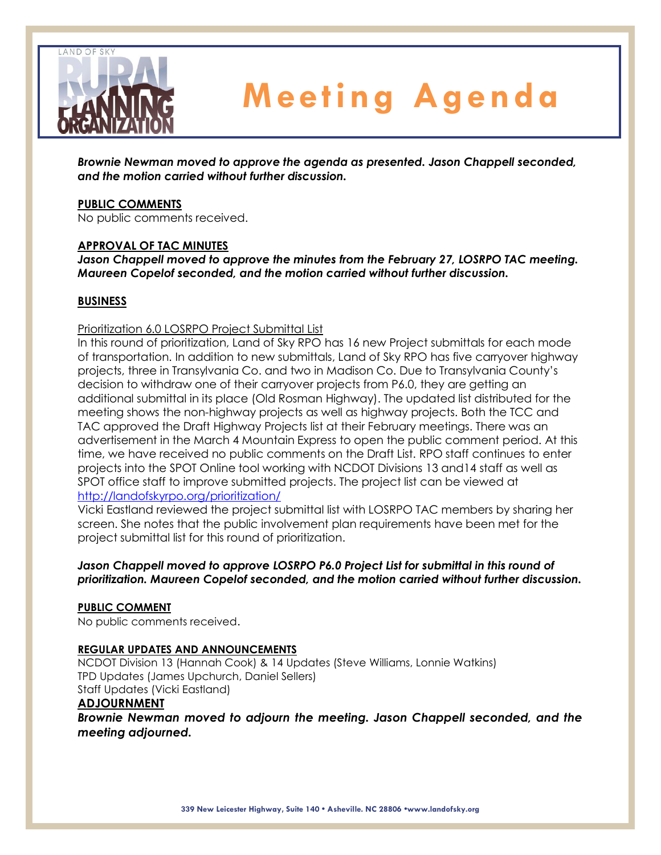

*Brownie Newman moved to approve the agenda as presented. Jason Chappell seconded, and the motion carried without further discussion.*

#### **PUBLIC COMMENTS**

No public comments received.

#### **APPROVAL OF TAC MINUTES**

*Jason Chappell moved to approve the minutes from the February 27, LOSRPO TAC meeting. Maureen Copelof seconded, and the motion carried without further discussion.*

#### **BUSINESS**

#### Prioritization 6.0 LOSRPO Project Submittal List

In this round of prioritization, Land of Sky RPO has 16 new Project submittals for each mode of transportation. In addition to new submittals, Land of Sky RPO has five carryover highway projects, three in Transylvania Co. and two in Madison Co. Due to Transylvania County's decision to withdraw one of their carryover projects from P6.0, they are getting an additional submittal in its place (Old Rosman Highway). The updated list distributed for the meeting shows the non-highway projects as well as highway projects. Both the TCC and TAC approved the Draft Highway Projects list at their February meetings. There was an advertisement in the March 4 Mountain Express to open the public comment period. At this time, we have received no public comments on the Draft List. RPO staff continues to enter projects into the SPOT Online tool working with NCDOT Divisions 13 and14 staff as well as SPOT office staff to improve submitted projects. The project list can be viewed at <http://landofskyrpo.org/prioritization/>

Vicki Eastland reviewed the project submittal list with LOSRPO TAC members by sharing her screen. She notes that the public involvement plan requirements have been met for the project submittal list for this round of prioritization.

### *Jason Chappell moved to approve LOSRPO P6.0 Project List for submittal in this round of prioritization. Maureen Copelof seconded, and the motion carried without further discussion.*

#### **PUBLIC COMMENT**

No public comments received.

#### **REGULAR UPDATES AND ANNOUNCEMENTS**

NCDOT Division 13 (Hannah Cook) & 14 Updates (Steve Williams, Lonnie Watkins) TPD Updates (James Upchurch, Daniel Sellers) Staff Updates (Vicki Eastland)

#### **ADJOURNMENT**

*Brownie Newman moved to adjourn the meeting. Jason Chappell seconded, and the meeting adjourned.*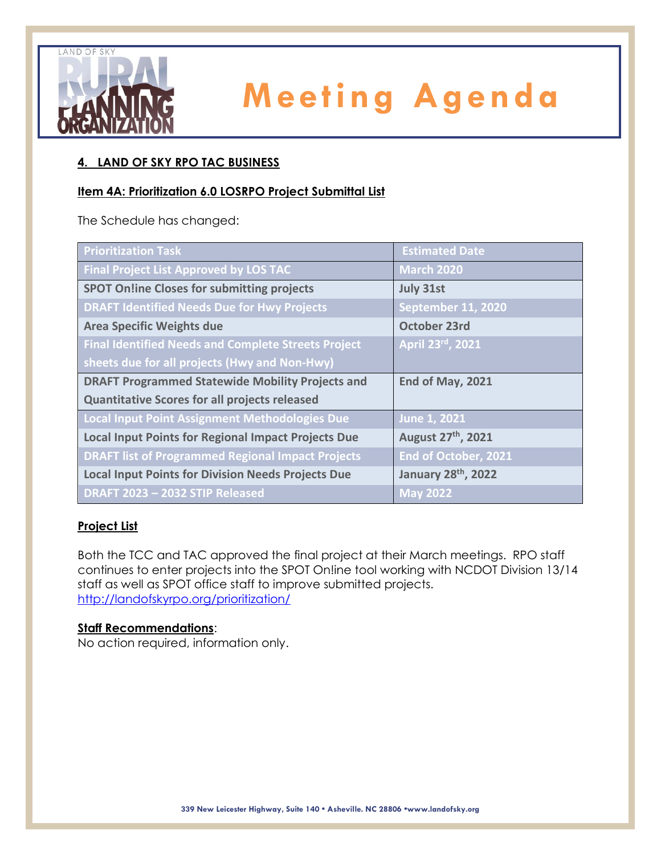

## **4. LAND OF SKY RPO TAC BUSINESS**

### **Item 4A: Prioritization 6.0 LOSRPO Project Submittal List**

The Schedule has changed:

| <b>Prioritization Task</b>                                 | <b>Estimated Date</b>     |  |
|------------------------------------------------------------|---------------------------|--|
| <b>Final Project List Approved by LOS TAC</b>              | <b>March 2020</b>         |  |
| <b>SPOT Online Closes for submitting projects</b>          | <b>July 31st</b>          |  |
| <b>DRAFT Identified Needs Due for Hwy Projects</b>         | <b>September 11, 2020</b> |  |
| <b>Area Specific Weights due</b>                           | October 23rd              |  |
| <b>Final Identified Needs and Complete Streets Project</b> | April 23rd, 2021          |  |
| sheets due for all projects (Hwy and Non-Hwy)              |                           |  |
| <b>DRAFT Programmed Statewide Mobility Projects and</b>    | End of May, 2021          |  |
| <b>Quantitative Scores for all projects released</b>       |                           |  |
| <b>Local Input Point Assignment Methodologies Due</b>      | June 1, 2021              |  |
| <b>Local Input Points for Regional Impact Projects Due</b> | August 27th, 2021         |  |
| <b>DRAFT list of Programmed Regional Impact Projects</b>   | End of October, 2021      |  |
| <b>Local Input Points for Division Needs Projects Due</b>  | January 28th, 2022        |  |
| DRAFT 2023 - 2032 STIP Released                            | $\overline{$ May 2022     |  |

### **Project List**

Both the TCC and TAC approved the final project at their March meetings. RPO staff continues to enter projects into the SPOT On!ine tool working with NCDOT Division 13/14 staff as well as SPOT office staff to improve submitted projects. <http://landofskyrpo.org/prioritization/>

### **Staff Recommendations**:

No action required, information only.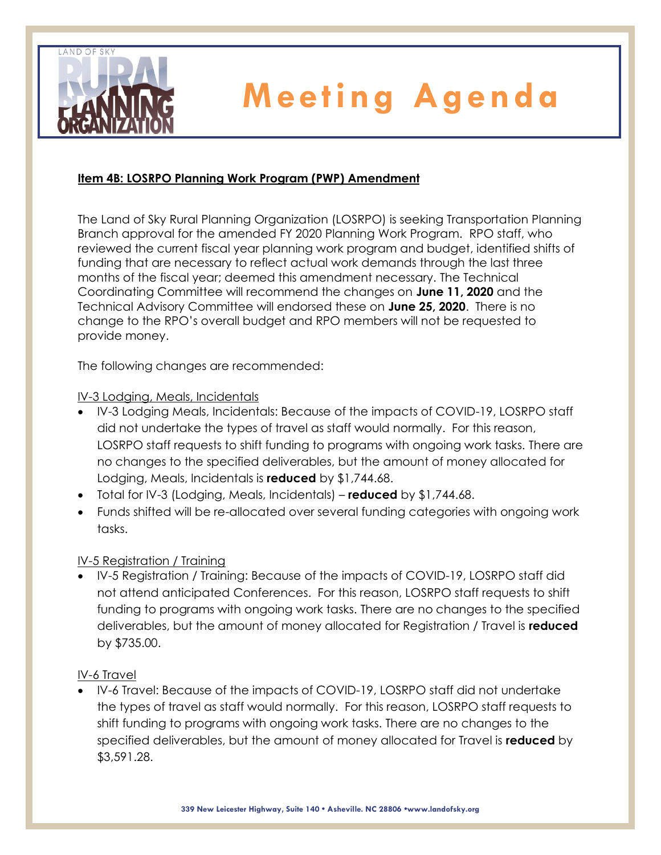

## **Item 4B: LOSRPO Planning Work Program (PWP) Amendment**

The Land of Sky Rural Planning Organization (LOSRPO) is seeking Transportation Planning Branch approval for the amended FY 2020 Planning Work Program. RPO staff, who reviewed the current fiscal year planning work program and budget, identified shifts of funding that are necessary to reflect actual work demands through the last three months of the fiscal year; deemed this amendment necessary. The Technical Coordinating Committee will recommend the changes on **June 11, 2020** and the Technical Advisory Committee will endorsed these on **June 25, 2020**. There is no change to the RPO's overall budget and RPO members will not be requested to provide money.

The following changes are recommended:

### IV-3 Lodging, Meals, Incidentals

- IV-3 Lodging Meals, Incidentals: Because of the impacts of COVID-19, LOSRPO staff did not undertake the types of travel as staff would normally. For this reason, LOSRPO staff requests to shift funding to programs with ongoing work tasks. There are no changes to the specified deliverables, but the amount of money allocated for Lodging, Meals, Incidentals is **reduced** by \$1,744.68.
- Total for IV-3 (Lodging, Meals, Incidentals) **reduced** by \$1,744.68.
- Funds shifted will be re-allocated over several funding categories with ongoing work tasks.

## IV-5 Registration / Training

• IV-5 Registration / Training: Because of the impacts of COVID-19, LOSRPO staff did not attend anticipated Conferences. For this reason, LOSRPO staff requests to shift funding to programs with ongoing work tasks. There are no changes to the specified deliverables, but the amount of money allocated for Registration / Travel is **reduced** by \$735.00.

### IV-6 Travel

• IV-6 Travel: Because of the impacts of COVID-19, LOSRPO staff did not undertake the types of travel as staff would normally. For this reason, LOSRPO staff requests to shift funding to programs with ongoing work tasks. There are no changes to the specified deliverables, but the amount of money allocated for Travel is **reduced** by \$3,591.28.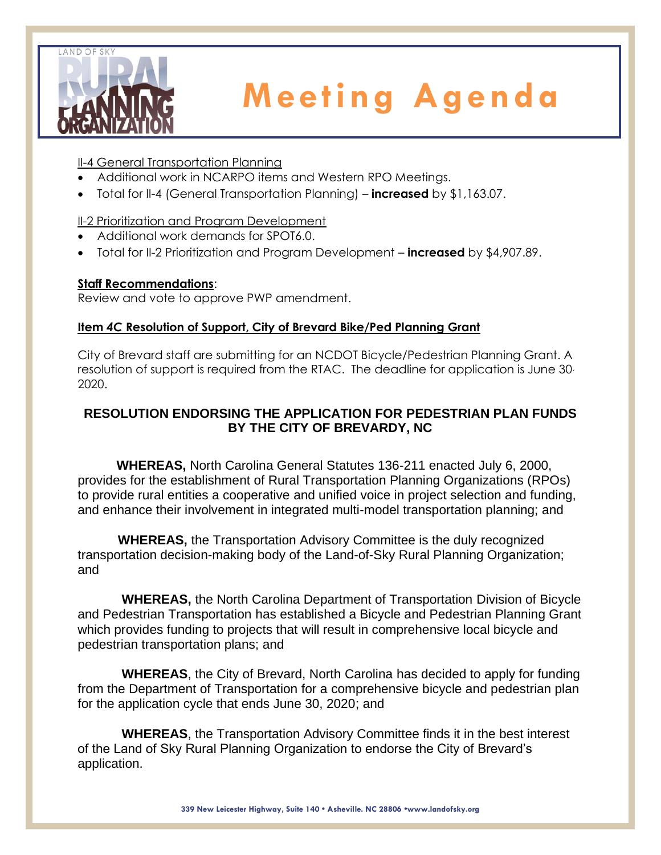

II-4 General Transportation Planning

- Additional work in NCARPO items and Western RPO Meetings.
- Total for II-4 (General Transportation Planning) **increased** by \$1,163.07.

II-2 Prioritization and Program Development

- Additional work demands for SPOT6.0.
- Total for II-2 Prioritization and Program Development **increased** by \$4,907.89.

## **Staff Recommendations**:

Review and vote to approve PWP amendment.

## **Item** *4C* **Resolution of Support, City of Brevard Bike/Ped Planning Grant**

City of Brevard staff are submitting for an NCDOT Bicycle/Pedestrian Planning Grant. A resolution of support is required from the RTAC. The deadline for application is June 30. 2020.

## **RESOLUTION ENDORSING THE APPLICATION FOR PEDESTRIAN PLAN FUNDS BY THE CITY OF BREVARDY, NC**

**WHEREAS,** North Carolina General Statutes 136-211 enacted July 6, 2000, provides for the establishment of Rural Transportation Planning Organizations (RPOs) to provide rural entities a cooperative and unified voice in project selection and funding, and enhance their involvement in integrated multi-model transportation planning; and

**WHEREAS,** the Transportation Advisory Committee is the duly recognized transportation decision-making body of the Land-of-Sky Rural Planning Organization; and

**WHEREAS,** the North Carolina Department of Transportation Division of Bicycle and Pedestrian Transportation has established a Bicycle and Pedestrian Planning Grant which provides funding to projects that will result in comprehensive local bicycle and pedestrian transportation plans; and

**WHEREAS**, the City of Brevard, North Carolina has decided to apply for funding from the Department of Transportation for a comprehensive bicycle and pedestrian plan for the application cycle that ends June 30, 2020; and

**WHEREAS**, the Transportation Advisory Committee finds it in the best interest of the Land of Sky Rural Planning Organization to endorse the City of Brevard's application.